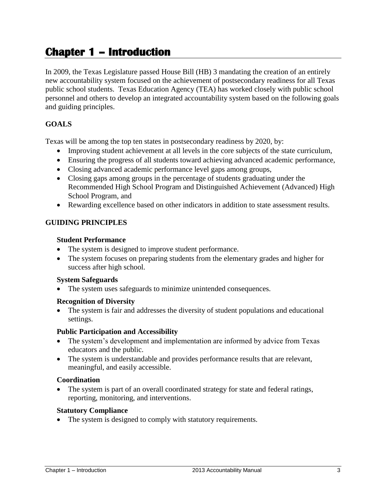# **Chapter 1 – Introduction**

In 2009, the Texas Legislature passed House Bill (HB) 3 mandating the creation of an entirely new accountability system focused on the achievement of postsecondary readiness for all Texas public school students. Texas Education Agency (TEA) has worked closely with public school personnel and others to develop an integrated accountability system based on the following goals and guiding principles.

# **GOALS**

Texas will be among the top ten states in postsecondary readiness by 2020, by:

- Improving student achievement at all levels in the core subjects of the state curriculum,
- Ensuring the progress of all students toward achieving advanced academic performance,
- Closing advanced academic performance level gaps among groups,
- Closing gaps among groups in the percentage of students graduating under the Recommended High School Program and Distinguished Achievement (Advanced) High School Program, and
- Rewarding excellence based on other indicators in addition to state assessment results.

## **GUIDING PRINCIPLES**

#### **Student Performance**

- The system is designed to improve student performance.
- The system focuses on preparing students from the elementary grades and higher for success after high school.

#### **System Safeguards**

The system uses safeguards to minimize unintended consequences.

#### **Recognition of Diversity**

 The system is fair and addresses the diversity of student populations and educational settings.

#### **Public Participation and Accessibility**

- The system's development and implementation are informed by advice from Texas educators and the public.
- The system is understandable and provides performance results that are relevant, meaningful, and easily accessible.

#### **Coordination**

 The system is part of an overall coordinated strategy for state and federal ratings, reporting, monitoring, and interventions.

#### **Statutory Compliance**

• The system is designed to comply with statutory requirements.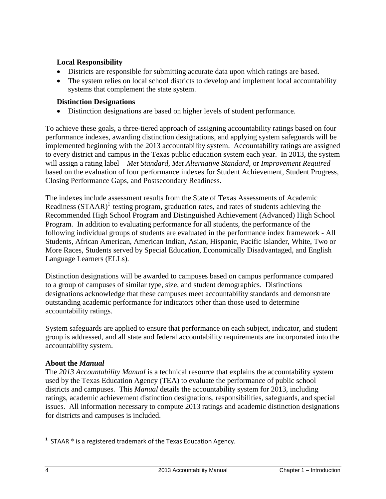## **Local Responsibility**

- Districts are responsible for submitting accurate data upon which ratings are based.
- The system relies on local school districts to develop and implement local accountability systems that complement the state system.

# **Distinction Designations**

Distinction designations are based on higher levels of student performance.

To achieve these goals, a three-tiered approach of assigning accountability ratings based on four performance indexes, awarding distinction designations, and applying system safeguards will be implemented beginning with the 2013 accountability system. Accountability ratings are assigned to every district and campus in the Texas public education system each year. In 2013, the system will assign a rating label – *Met Standard, Met Alternative Standard,* or *Improvement Required* – based on the evaluation of four performance indexes for Student Achievement, Student Progress, Closing Performance Gaps, and Postsecondary Readiness.

The indexes include assessment results from the State of Texas Assessments of Academic Readiness (STAAR)<sup>1</sup> testing program, graduation rates, and rates of students achieving the Recommended High School Program and Distinguished Achievement (Advanced) High School Program. In addition to evaluating performance for all students, the performance of the following individual groups of students are evaluated in the performance index framework - All Students, African American, American Indian, Asian, Hispanic, Pacific Islander, White, Two or More Races, Students served by Special Education, Economically Disadvantaged, and English Language Learners (ELLs).

Distinction designations will be awarded to campuses based on campus performance compared to a group of campuses of similar type, size, and student demographics. Distinctions designations acknowledge that these campuses meet accountability standards and demonstrate outstanding academic performance for indicators other than those used to determine accountability ratings.

System safeguards are applied to ensure that performance on each subject, indicator, and student group is addressed, and all state and federal accountability requirements are incorporated into the accountability system.

## **About the** *Manual*

The *2013 Accountability Manual* is a technical resource that explains the accountability system used by the Texas Education Agency (TEA) to evaluate the performance of public school districts and campuses. This *Manual* details the accountability system for 2013, including ratings, academic achievement distinction designations, responsibilities, safeguards, and special issues. All information necessary to compute 2013 ratings and academic distinction designations for districts and campuses is included.

**1** STAAR ® is a registered trademark of the Texas Education Agency.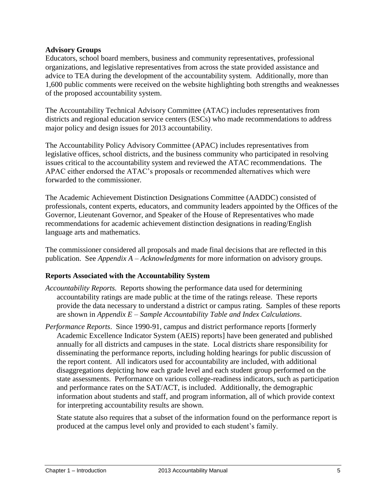#### **Advisory Groups**

Educators, school board members, business and community representatives, professional organizations, and legislative representatives from across the state provided assistance and advice to TEA during the development of the accountability system. Additionally, more than 1,600 public comments were received on the website highlighting both strengths and weaknesses of the proposed accountability system.

The Accountability Technical Advisory Committee (ATAC) includes representatives from districts and regional education service centers (ESCs) who made recommendations to address major policy and design issues for 2013 accountability.

The Accountability Policy Advisory Committee (APAC) includes representatives from legislative offices, school districts, and the business community who participated in resolving issues critical to the accountability system and reviewed the ATAC recommendations. The APAC either endorsed the ATAC's proposals or recommended alternatives which were forwarded to the commissioner.

The Academic Achievement Distinction Designations Committee (AADDC) consisted of professionals, content experts, educators, and community leaders appointed by the Offices of the Governor, Lieutenant Governor, and Speaker of the House of Representatives who made recommendations for academic achievement distinction designations in reading/English language arts and mathematics.

The commissioner considered all proposals and made final decisions that are reflected in this publication. See *Appendix A – Acknowledgments* for more information on advisory groups.

## **Reports Associated with the Accountability System**

- *Accountability Reports.* Reports showing the performance data used for determining accountability ratings are made public at the time of the ratings release. These reports provide the data necessary to understand a district or campus rating. Samples of these reports are shown in *Appendix E – Sample Accountability Table and Index Calculations*.
- *Performance Reports*. Since 1990-91, campus and district performance reports [formerly Academic Excellence Indicator System (AEIS) reports] have been generated and published annually for all districts and campuses in the state. Local districts share responsibility for disseminating the performance reports, including holding hearings for public discussion of the report content. All indicators used for accountability are included, with additional disaggregations depicting how each grade level and each student group performed on the state assessments. Performance on various college-readiness indicators, such as participation and performance rates on the SAT/ACT, is included. Additionally, the demographic information about students and staff, and program information, all of which provide context for interpreting accountability results are shown.

State statute also requires that a subset of the information found on the performance report is produced at the campus level only and provided to each student's family.